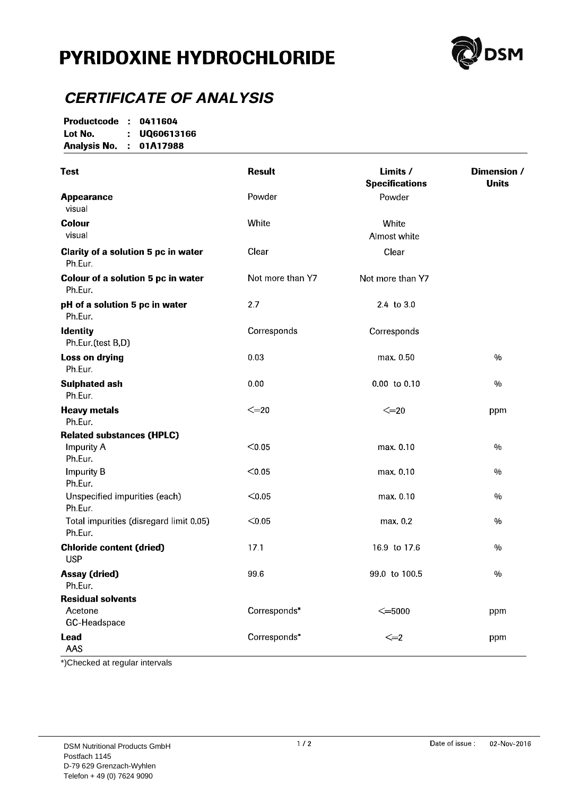## **PYRIDOXINE HYDROCHLORIDE**



#### **CERTIFICATE OF ANALYSIS**

Productcode : 0411604 Lot No. : UQ60613166 **Analysis No. : 01A17988** 

| <b>Test</b>                                                      | <b>Result</b>    | Limits /<br><b>Specifications</b> | Dimension /<br><b>Units</b> |
|------------------------------------------------------------------|------------------|-----------------------------------|-----------------------------|
| <b>Appearance</b><br>visual                                      | Powder           | Powder                            |                             |
| <b>Colour</b><br>visual                                          | White            | White<br>Almost white             |                             |
| Clarity of a solution 5 pc in water<br>Ph Eur.                   | Clear            | Clear                             |                             |
| Colour of a solution 5 pc in water<br>Ph Eur.                    | Not more than Y7 | Not more than Y7                  |                             |
| pH of a solution 5 pc in water<br>Ph Eur                         | 27               | 24 to 30                          |                             |
| <b>Identity</b><br>Ph Eur (test B,D)                             | Corresponds      | Corresponds                       |                             |
| Loss on drying<br>Ph Eur.                                        | 0.03             | max 0.50                          | $\%$                        |
| <b>Sulphated ash</b><br>Ph.Eur.                                  | 0.00             | 0.00 to 0.10                      | $\frac{0}{0}$               |
| <b>Heavy metals</b><br>Ph Eur.                                   | $\leq=20$        | $\leq=20$                         | ppm                         |
| <b>Related substances (HPLC)</b><br><b>Impurity A</b><br>Ph Eur. | < 0.05           | max. 0.10                         | 0/0                         |
| <b>Impurity B</b><br>Ph Eur.                                     | < 0.05           | max 0.10                          | $0/_{\rm 0}$                |
| Unspecified impurities (each)<br>Ph Eur                          | < 0.05           | max 0.10                          | 0/0                         |
| Total impurities (disregard limit 0.05)<br>Ph Eur.               | < 0.05           | max. 0.2                          | $\%$                        |
| <b>Chloride content (dried)</b><br><b>USP</b>                    | 17.1             | 169 to 17.6                       | $\%$                        |
| <b>Assay (dried)</b><br>Ph.Eur.                                  | 99.6             | 99 0 to 100 5                     | $\frac{0}{0}$               |
| <b>Residual solvents</b><br>Acetone<br>GC-Headspace              | Corresponds*     | $\leq$ =5000                      | ppm                         |
| Lead<br>AAS                                                      | Corresponds*     | $\leq=2$                          | ppm                         |

\*)Checked at regular intervals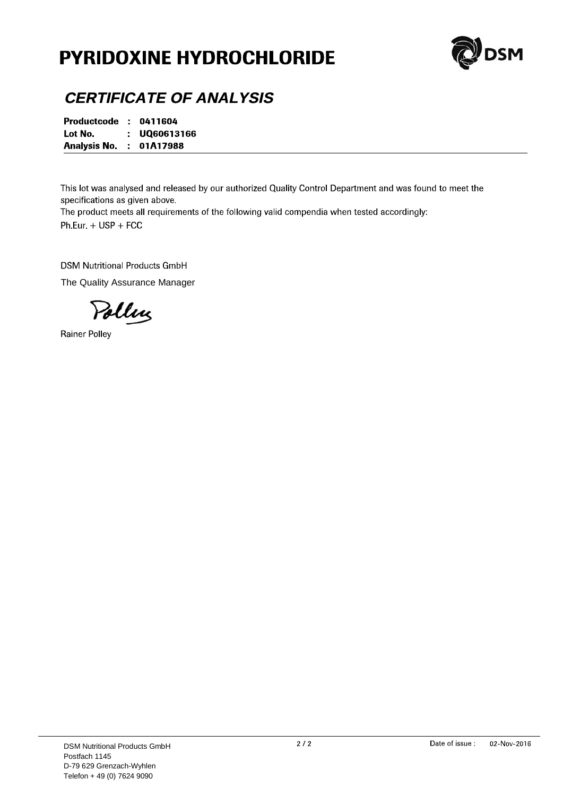# **PYRIDOXINE HYDROCHLORIDE**



#### **CERTIFICATE OF ANALYSIS**

Productcode : 0411604 Lot No. : UQ60613166 **Analysis No. : 01A17988** 

This lot was analysed and released by our authorized Quality Control Department and was found to meet the specifications as given above.

The product meets all requirements of the following valid compendia when tested accordingly: Ph.Eur.  $+$  USP + FCC

**DSM Nutritional Products GmbH** 

The Quality Assurance Manager

Polling

**Rainer Polley**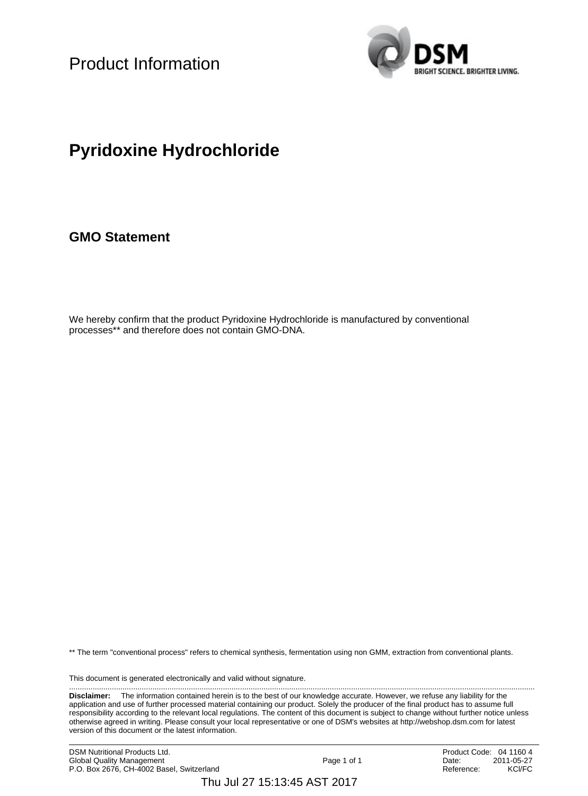Product Information



### **Pyridoxine Hydrochloride**

**GMO Statement**

We hereby confirm that the product Pyridoxine Hydrochloride is manufactured by conventional processes\*\* and therefore does not contain GMO-DNA.

\*\* The term "conventional process" refers to chemical synthesis, fermentation using non GMM, extraction from conventional plants.

This document is generated electronically and valid without signature. ..........................................................................................................................................................................................................................

**Disclaimer:** The information contained herein is to the best of our knowledge accurate. However, we refuse any liability for the application and use of further processed material containing our product. Solely the producer of the final product has to assume full responsibility according to the relevant local regulations. The content of this document is subject to change without further notice unless otherwise agreed in writing. Please consult your local representative or one of DSM's websites at http://webshop.dsm.com for latest version of this document or the latest information.